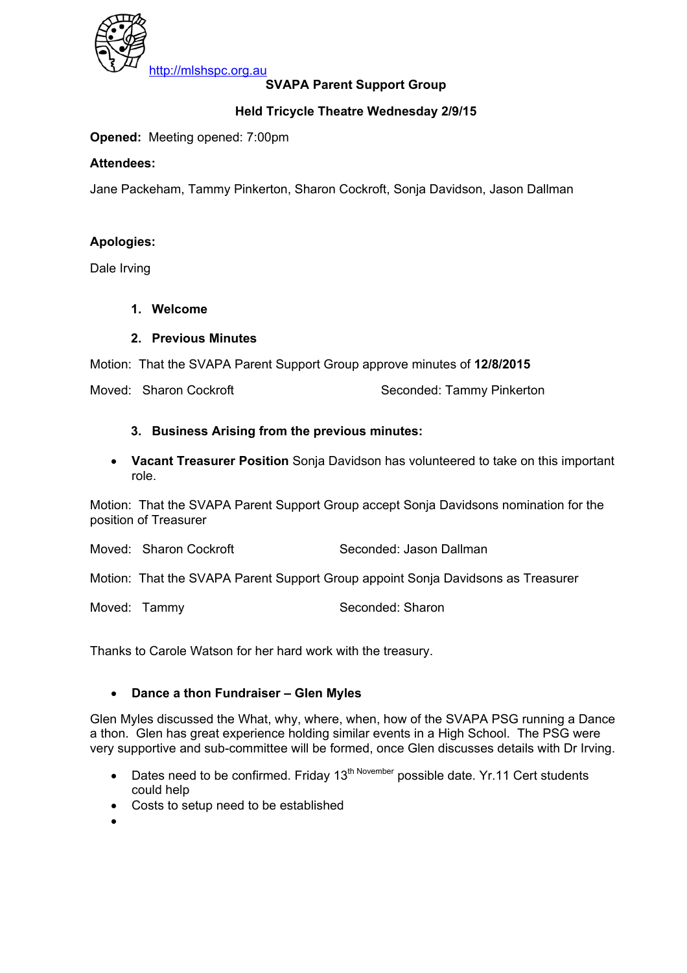

## **SVAPA Parent Support Group**

## **Held Tricycle Theatre Wednesday 2/9/15**

**Opened:** Meeting opened: 7:00pm

#### **Attendees:**

Jane Packeham, Tammy Pinkerton, Sharon Cockroft, Sonja Davidson, Jason Dallman

#### **Apologies:**

Dale Irving

#### **1. Welcome**

#### **2. Previous Minutes**

Motion: That the SVAPA Parent Support Group approve minutes of **12/8/2015** 

Moved: Sharon Cockroft Seconded: Tammy Pinkerton

#### **3. Business Arising from the previous minutes:**

• **Vacant Treasurer Position** Sonja Davidson has volunteered to take on this important role.

Motion: That the SVAPA Parent Support Group accept Sonja Davidsons nomination for the position of Treasurer

Moved: Sharon Cockroft Seconded: Jason Dallman

Motion: That the SVAPA Parent Support Group appoint Sonja Davidsons as Treasurer

Moved: Tammy Seconded: Sharon

Thanks to Carole Watson for her hard work with the treasury.

#### • **Dance a thon Fundraiser – Glen Myles**

Glen Myles discussed the What, why, where, when, how of the SVAPA PSG running a Dance a thon. Glen has great experience holding similar events in a High School. The PSG were very supportive and sub-committee will be formed, once Glen discusses details with Dr Irving.

- Dates need to be confirmed. Friday 13<sup>th November</sup> possible date. Yr.11 Cert students could help
- Costs to setup need to be established
- •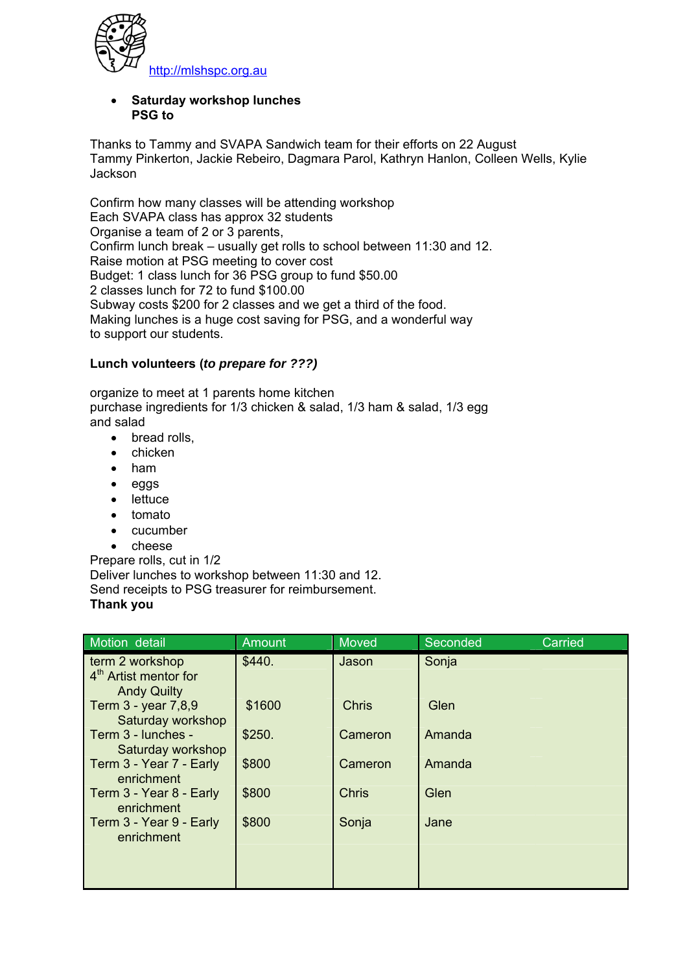

#### • **Saturday workshop lunches PSG to**

Thanks to Tammy and SVAPA Sandwich team for their efforts on 22 August Tammy Pinkerton, Jackie Rebeiro, Dagmara Parol, Kathryn Hanlon, Colleen Wells, Kylie **Jackson** 

Confirm how many classes will be attending workshop Each SVAPA class has approx 32 students Organise a team of 2 or 3 parents, Confirm lunch break – usually get rolls to school between 11:30 and 12. Raise motion at PSG meeting to cover cost Budget: 1 class lunch for 36 PSG group to fund \$50.00 2 classes lunch for 72 to fund \$100.00 Subway costs \$200 for 2 classes and we get a third of the food. Making lunches is a huge cost saving for PSG, and a wonderful way to support our students.

## **Lunch volunteers (***to prepare for ???)*

organize to meet at 1 parents home kitchen purchase ingredients for 1/3 chicken & salad, 1/3 ham & salad, 1/3 egg and salad

- bread rolls,
- chicken
- ham
- eggs
- **lettuce**
- tomato
- cucumber
- cheese

Prepare rolls, cut in 1/2 Deliver lunches to workshop between 11:30 and 12.

Send receipts to PSG treasurer for reimbursement. **Thank you**

| Motion detail                                                              | <b>Amount</b> | Moved        | Seconded | <b>Carried</b> |
|----------------------------------------------------------------------------|---------------|--------------|----------|----------------|
| term 2 workshop<br>4 <sup>th</sup> Artist mentor for<br><b>Andy Quilty</b> | \$440.        | Jason        | Sonja    |                |
| Term 3 - year 7,8,9<br>Saturday workshop                                   | \$1600        | <b>Chris</b> | Glen     |                |
| Term 3 - lunches -<br>Saturday workshop                                    | \$250.        | Cameron      | Amanda   |                |
| Term 3 - Year 7 - Early<br>enrichment                                      | \$800         | Cameron      | Amanda   |                |
| Term 3 - Year 8 - Early<br>enrichment                                      | \$800         | Chris        | Glen     |                |
| Term 3 - Year 9 - Early<br>enrichment                                      | \$800         | Sonja        | Jane     |                |
|                                                                            |               |              |          |                |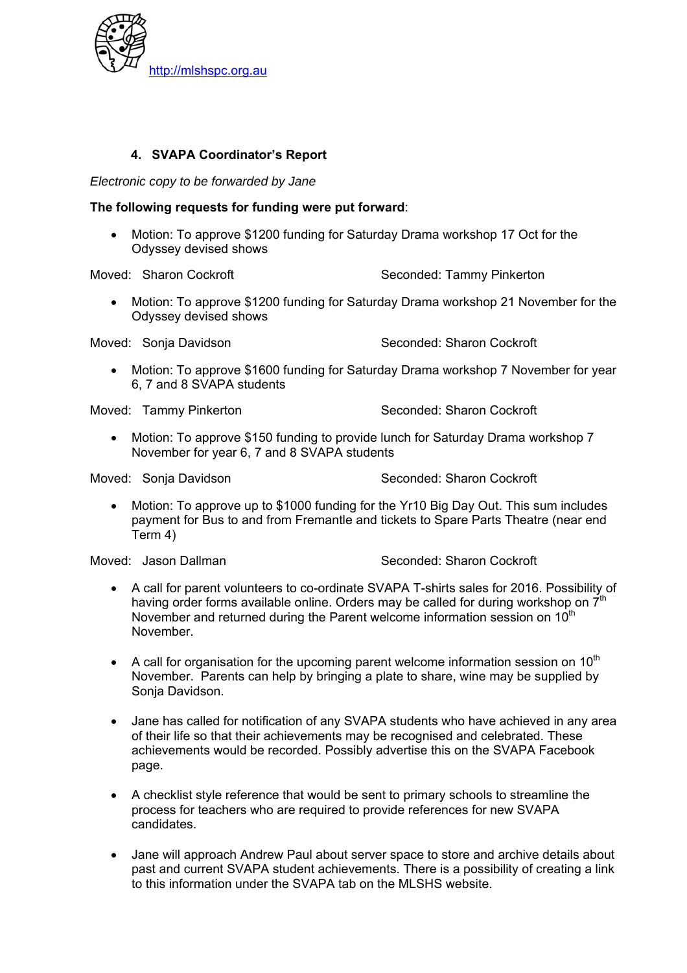

## **4. SVAPA Coordinator's Report**

*Electronic copy to be forwarded by Jane* 

#### **The following requests for funding were put forward**:

• Motion: To approve \$1200 funding for Saturday Drama workshop 17 Oct for the Odyssey devised shows

Moved: Sharon Cockroft Seconded: Tammy Pinkerton

• Motion: To approve \$1200 funding for Saturday Drama workshop 21 November for the Odyssey devised shows

Moved: Sonja Davidson Seconded: Sharon Cockroft

• Motion: To approve \$1600 funding for Saturday Drama workshop 7 November for year 6, 7 and 8 SVAPA students

Moved: Tammy Pinkerton Seconded: Sharon Cockroft

• Motion: To approve \$150 funding to provide lunch for Saturday Drama workshop 7 November for year 6, 7 and 8 SVAPA students

Moved: Sonia Davidson Seconded: Sharon Cockroft

• Motion: To approve up to \$1000 funding for the Yr10 Big Day Out. This sum includes payment for Bus to and from Fremantle and tickets to Spare Parts Theatre (near end Term 4)

Moved: Jason Dallman Seconded: Sharon Cockroft

- A call for parent volunteers to co-ordinate SVAPA T-shirts sales for 2016. Possibility of having order forms available online. Orders may be called for during workshop on  $7<sup>th</sup>$ November and returned during the Parent welcome information session on 10<sup>th</sup> November.
- A call for organisation for the upcoming parent welcome information session on  $10<sup>th</sup>$ November. Parents can help by bringing a plate to share, wine may be supplied by Sonia Davidson.
- Jane has called for notification of any SVAPA students who have achieved in any area of their life so that their achievements may be recognised and celebrated. These achievements would be recorded. Possibly advertise this on the SVAPA Facebook page.
- A checklist style reference that would be sent to primary schools to streamline the process for teachers who are required to provide references for new SVAPA candidates.
- Jane will approach Andrew Paul about server space to store and archive details about past and current SVAPA student achievements. There is a possibility of creating a link to this information under the SVAPA tab on the MLSHS website.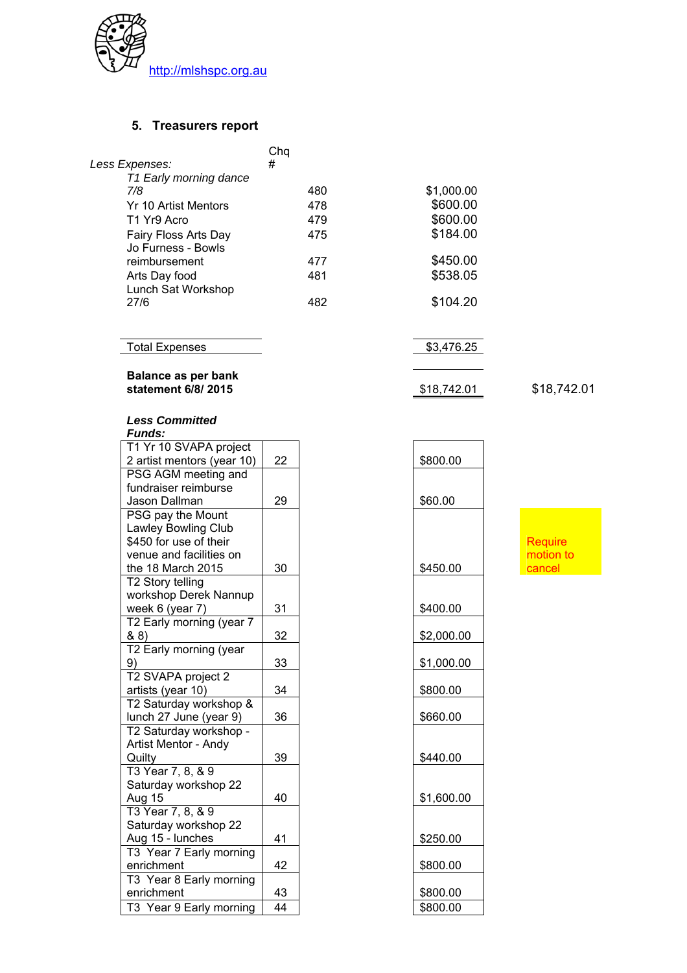

#### **5. Treasurers report**

|                                            | Cha |            |
|--------------------------------------------|-----|------------|
| Less Expenses:                             | #   |            |
| T1 Early morning dance                     |     |            |
| 7/8                                        | 480 | \$1,000.00 |
| Yr 10 Artist Mentors                       | 478 | \$600.00   |
| T1 Yr9 Acro                                | 479 | \$600.00   |
| Fairy Floss Arts Day<br>Jo Furness - Bowls | 475 | \$184.00   |
| reimbursement                              | 477 | \$450.00   |
| Arts Day food<br>Lunch Sat Workshop        | 481 | \$538.05   |
| 27/6                                       | 482 | \$104.20   |

Total Expenses 3,476.25

# **Balance as per bank**

**statement 6/8/ 2015** \$18,742.01 \$18,742.01

## *Less Committed*

| runas:                     |    |
|----------------------------|----|
| T1 Yr 10 SVAPA project     |    |
| 2 artist mentors (year 10) | 22 |
| PSG AGM meeting and        |    |
| fundraiser reimburse       |    |
| Jason Dallman              | 29 |
| PSG pay the Mount          |    |
| <b>Lawley Bowling Club</b> |    |
| \$450 for use of their     |    |
| venue and facilities on    |    |
| the 18 March 2015          | 30 |
| T2 Story telling           |    |
| workshop Derek Nannup      |    |
| week 6 (year 7)            | 31 |
| T2 Early morning (year 7   |    |
| & 8)                       | 32 |
| T2 Early morning (year     |    |
| 9)                         | 33 |
| T2 SVAPA project 2         |    |
| artists (year 10)          | 34 |
| T2 Saturday workshop &     |    |
| lunch 27 June (year 9)     | 36 |
| T2 Saturday workshop -     |    |
| Artist Mentor - Andy       |    |
| Quilty                     | 39 |
| T3 Year 7, 8, & 9          |    |
| Saturday workshop 22       |    |
| Aug 15                     | 40 |
| T3 Year 7, 8, & 9          |    |
| Saturday workshop 22       |    |
| Aug 15 - lunches           | 41 |
| T3 Year 7 Early morning    |    |
| enrichment                 | 42 |
| T3 Year 8 Early morning    |    |
| enrichment                 | 43 |
| T3 Year 9 Early morning    | 44 |
|                            |    |

\$800.00  $$60.00$ \$450.00 \$400.00 & 8) 32 \$2,000.00 9) 33 \$1,000.00  $$800.00$  $$660.00$ \$440.00  $$1,600.00$  $$250.00$ \$800.00 \$800.00  $$800.00$ 

**Require** motion to **cancel**